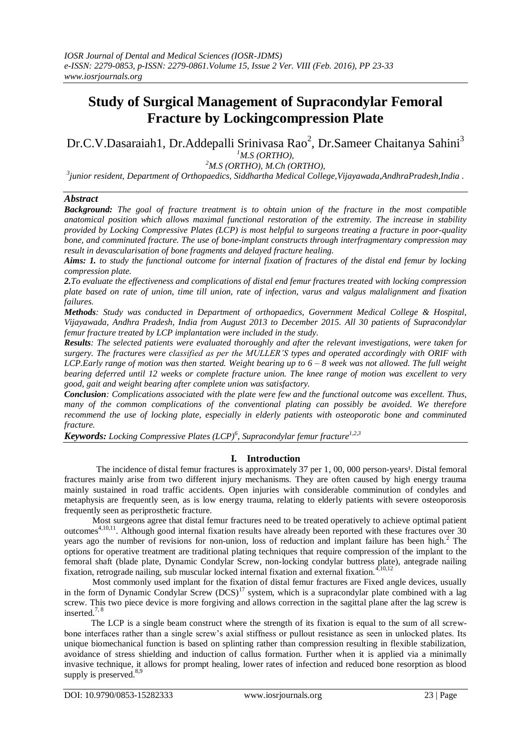# **Study of Surgical Management of Supracondylar Femoral Fracture by Lockingcompression Plate**

Dr.C.V.Dasaraiah1, Dr.Addepalli Srinivasa Rao<sup>2</sup>, Dr.Sameer Chaitanya Sahini<sup>3</sup> *<sup>1</sup>M.S (ORTHO),*

*<sup>2</sup>M.S (ORTHO), M.Ch (ORTHO),*

*3 junior resident, Department of Orthopaedics, Siddhartha Medical College,Vijayawada,AndhraPradesh,India .*

#### *Abstract*

*Background: The goal of fracture treatment is to obtain union of the fracture in the most compatible anatomical position which allows maximal functional restoration of the extremity. The increase in stability provided by Locking Compressive Plates (LCP) is most helpful to surgeons treating a fracture in poor-quality bone, and comminuted fracture. The use of bone-implant constructs through interfragmentary compression may result in devascularisation of bone fragments and delayed fracture healing.* 

*Aims: 1. to study the functional outcome for internal fixation of fractures of the distal end femur by locking compression plate.*

*2.To evaluate the effectiveness and complications of distal end femur fractures treated with locking compression plate based on rate of union, time till union, rate of infection, varus and valgus malalignment and fixation failures.*

*Methods: Study was conducted in Department of orthopaedics, Government Medical College & Hospital, Vijayawada, Andhra Pradesh, India from August 2013 to December 2015. All 30 patients of Supracondylar femur fracture treated by LCP implantation were included in the study.* 

*Results: The selected patients were evaluated thoroughly and after the relevant investigations, were taken for surgery. The fractures were classified as per the MULLER'S types and operated accordingly with ORIF with LCP.Early range of motion was then started. Weight bearing up to 6 – 8 week was not allowed. The full weight bearing deferred until 12 weeks or complete fracture union. The knee range of motion was excellent to very good, gait and weight bearing after complete union was satisfactory.*

*Conclusion: Complications associated with the plate were few and the functional outcome was excellent. Thus,*  many of the common complications of the conventional plating can possibly be avoided. We therefore *recommend the use of locking plate, especially in elderly patients with osteoporotic bone and comminuted fracture.*

*Keywords: Locking Compressive Plates (LCP)<sup>6</sup> , Supracondylar femur fracture1,2,3*

# **I. Introduction**

The incidence of distal femur fractures is approximately 37 per 1, 00, 000 person-years<sup>1</sup>. Distal femoral fractures mainly arise from two different injury mechanisms. They are often caused by high energy trauma mainly sustained in road traffic accidents. Open injuries with considerable comminution of condyles and metaphysis are frequently seen, as is low energy trauma, relating to elderly patients with severe osteoporosis frequently seen as periprosthetic fracture.

Most surgeons agree that distal femur fractures need to be treated operatively to achieve optimal patient outcomes<sup>4,10,11</sup>. Although good internal fixation results have already been reported with these fractures over 30 years ago the number of revisions for non-union, loss of reduction and implant failure has been high.<sup>2</sup> The options for operative treatment are traditional plating techniques that require compression of the implant to the femoral shaft (blade plate, Dynamic Condylar Screw, non-locking condylar buttress plate), antegrade nailing fixation, retrograde nailing, sub muscular locked internal fixation and external fixation.<sup>4,10,12</sup>

Most commonly used implant for the fixation of distal femur fractures are Fixed angle devices, usually in the form of Dynamic Condylar Screw  $(DCS)^{17}$  system, which is a supracondylar plate combined with a lag screw. This two piece device is more forgiving and allows correction in the sagittal plane after the lag screw is inserted.7, 8

The LCP is a single beam construct where the strength of its fixation is equal to the sum of all screwbone interfaces rather than a single screw's axial stiffness or pullout resistance as seen in unlocked plates. Its unique biomechanical function is based on splinting rather than compression resulting in flexible stabilization, avoidance of stress shielding and induction of callus formation. Further when it is applied via a minimally invasive technique, it allows for prompt healing, lower rates of infection and reduced bone resorption as blood supply is preserved.<sup>8,9</sup>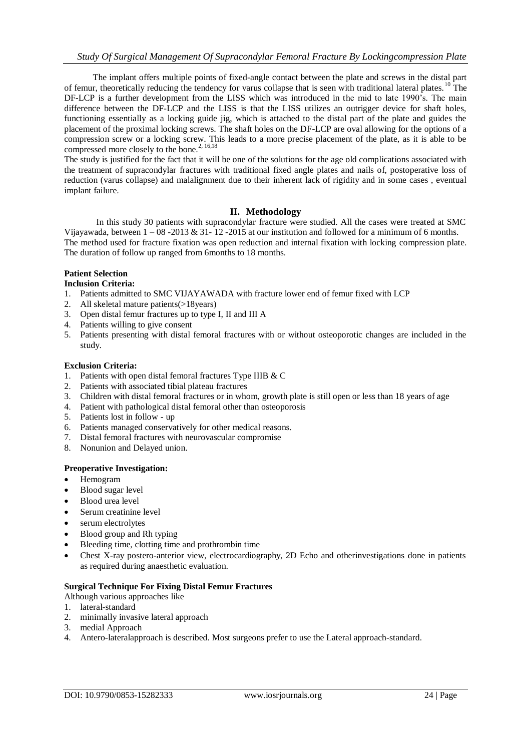The implant offers multiple points of fixed-angle contact between the plate and screws in the distal part of femur, theoretically reducing the tendency for varus collapse that is seen with traditional lateral plates.<sup>10</sup> The DF-LCP is a further development from the LISS which was introduced in the mid to late 1990's. The main difference between the DF-LCP and the LISS is that the LISS utilizes an outrigger device for shaft holes, functioning essentially as a locking guide jig, which is attached to the distal part of the plate and guides the placement of the proximal locking screws. The shaft holes on the DF-LCP are oval allowing for the options of a compression screw or a locking screw. This leads to a more precise placement of the plate, as it is able to be compressed more closely to the bone.<sup>2, 16,18</sup>

The study is justified for the fact that it will be one of the solutions for the age old complications associated with the treatment of supracondylar fractures with traditional fixed angle plates and nails of, postoperative loss of reduction (varus collapse) and malalignment due to their inherent lack of rigidity and in some cases , eventual implant failure.

# **II. Methodology**

In this study 30 patients with supracondylar fracture were studied. All the cases were treated at SMC Vijayawada, between  $1 - 08 - 2013 \& 31 - 12 - 2015$  at our institution and followed for a minimum of 6 months. The method used for fracture fixation was open reduction and internal fixation with locking compression plate. The duration of follow up ranged from 6months to 18 months.

# **Patient Selection**

# **Inclusion Criteria:**

- 1. Patients admitted to SMC VIJAYAWADA with fracture lower end of femur fixed with LCP
- 2. All skeletal mature patients(>18years)
- 3. Open distal femur fractures up to type I, II and III A
- 4. Patients willing to give consent
- 5. Patients presenting with distal femoral fractures with or without osteoporotic changes are included in the study.

#### **Exclusion Criteria:**

- 1. Patients with open distal femoral fractures Type IIIB & C
- 2. Patients with associated tibial plateau fractures
- 3. Children with distal femoral fractures or in whom, growth plate is still open or less than 18 years of age
- 4. Patient with pathological distal femoral other than osteoporosis
- 5. Patients lost in follow up
- 6. Patients managed conservatively for other medical reasons.
- 7. Distal femoral fractures with neurovascular compromise
- 8. Nonunion and Delayed union.

## **Preoperative Investigation:**

- Hemogram
- Blood sugar level
- Blood urea level
- Serum creatinine level
- serum electrolytes
- Blood group and Rh typing
- Bleeding time, clotting time and prothrombin time
- Chest X-ray postero-anterior view, electrocardiography, 2D Echo and otherinvestigations done in patients as required during anaesthetic evaluation.

## **Surgical Technique For Fixing Distal Femur Fractures**

- Although various approaches like
- 1. lateral-standard
- 2. minimally invasive lateral approach
- 3. medial Approach
- 4. Antero-lateralapproach is described. Most surgeons prefer to use the Lateral approach-standard.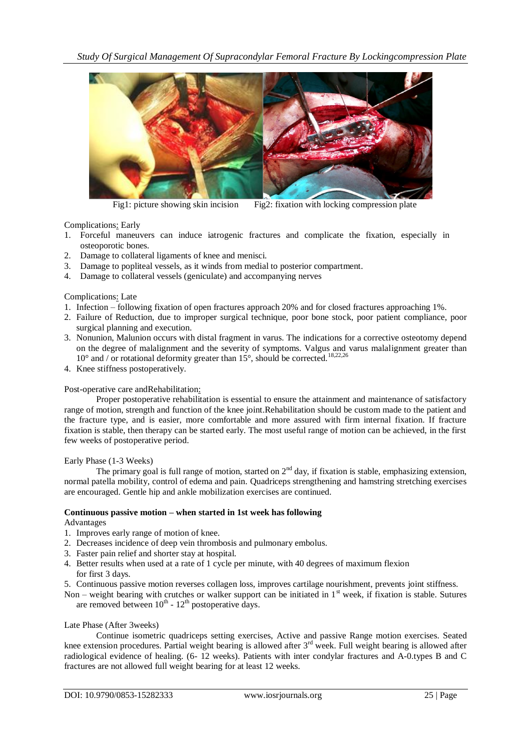*Study Of Surgical Management Of Supracondylar Femoral Fracture By Lockingcompression Plate*



Fig1: picture showing skin incision Fig2: fixation with locking compression plate

Complications: Early

- 1. Forceful maneuvers can induce iatrogenic fractures and complicate the fixation, especially in osteoporotic bones.
- 2. Damage to collateral ligaments of knee and menisci.
- 3. Damage to popliteal vessels, as it winds from medial to posterior compartment.
- 4. Damage to collateral vessels (geniculate) and accompanying nerves

Complications: Late

- 1. Infection following fixation of open fractures approach 20% and for closed fractures approaching 1%.
- 2. Failure of Reduction, due to improper surgical technique, poor bone stock, poor patient compliance, poor surgical planning and execution.
- 3. Nonunion, Malunion occurs with distal fragment in varus. The indications for a corrective osteotomy depend on the degree of malalignment and the severity of symptoms. Valgus and varus malalignment greater than  $10^{\circ}$  and / or rotational deformity greater than  $15^{\circ}$ , should be corrected.<sup>18,22,26</sup>
- 4. Knee stiffness postoperatively.

#### Post-operative care andRehabilitation:

Proper postoperative rehabilitation is essential to ensure the attainment and maintenance of satisfactory range of motion, strength and function of the knee joint.Rehabilitation should be custom made to the patient and the fracture type, and is easier, more comfortable and more assured with firm internal fixation. If fracture fixation is stable, then therapy can be started early. The most useful range of motion can be achieved, in the first few weeks of postoperative period.

Early Phase (1-3 Weeks)

The primary goal is full range of motion, started on  $2<sup>nd</sup>$  day, if fixation is stable, emphasizing extension, normal patella mobility, control of edema and pain. Quadriceps strengthening and hamstring stretching exercises are encouraged. Gentle hip and ankle mobilization exercises are continued.

# **Continuous passive motion – when started in 1st week has following**

Advantages

- 1. Improves early range of motion of knee.
- 2. Decreases incidence of deep vein thrombosis and pulmonary embolus.
- 3. Faster pain relief and shorter stay at hospital.
- 4. Better results when used at a rate of 1 cycle per minute, with 40 degrees of maximum flexion for first 3 days.
- 5. Continuous passive motion reverses collagen loss, improves cartilage nourishment, prevents joint stiffness.

Non – weight bearing with crutches or walker support can be initiated in  $1<sup>st</sup>$  week, if fixation is stable. Sutures are removed between  $10^{th}$  -  $12^{th}$  postoperative days.

#### Late Phase (After 3weeks)

Continue isometric quadriceps setting exercises, Active and passive Range motion exercises. Seated knee extension procedures. Partial weight bearing is allowed after 3<sup>rd</sup> week. Full weight bearing is allowed after radiological evidence of healing. (6- 12 weeks). Patients with inter condylar fractures and A-0.types B and C fractures are not allowed full weight bearing for at least 12 weeks.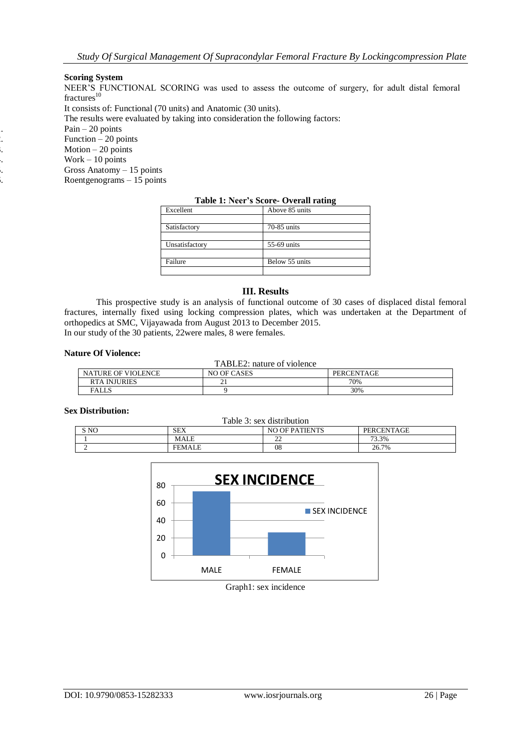## **Scoring System**

NEER'S FUNCTIONAL SCORING was used to assess the outcome of surgery, for adult distal femoral  $fractures<sup>10</sup>$ 

It consists of: Functional (70 units) and Anatomic (30 units).

The results were evaluated by taking into consideration the following factors:

 $Pain - 20$  points

 $20 \text{ points}$  $3.$  Motion – 20 points<br>3. Work – 10 points<br>3. Gross Anatomy – 1  $Work - 10 points$ 

5. Gross Anatomy – 15 points Roentgenograms – 15 points

|                | $20010 + 1001$ $000010$ $00010$ |
|----------------|---------------------------------|
| Excellent      | Above 85 units                  |
|                |                                 |
| Satisfactory   | 70-85 units                     |
|                |                                 |
| Unsatisfactory | 55-69 units                     |
|                |                                 |
| Failure        | Below 55 units                  |
|                |                                 |

## **Table 1: Neer's Score- Overall rating**

# **III. Results**

This prospective study is an analysis of functional outcome of 30 cases of displaced distal femoral fractures, internally fixed using locking compression plates, which was undertaken at the Department of orthopedics at SMC, Vijayawada from August 2013 to December 2015. In our study of the 30 patients, 22were males, 8 were females.

#### **Nature Of Violence:**

| TABLE2: nature of violence                             |    |     |  |
|--------------------------------------------------------|----|-----|--|
| <b>NATURE OF VIOLENCE</b><br>NO OF CASES<br>PERCENTAGE |    |     |  |
| <b>RTA INJURIES</b>                                    | ∼. | 70% |  |
| <b>FALLS</b>                                           |    | 30% |  |

#### **Sex Distribution:**

| Table 3: sex distribution                                                   |               |         |       |
|-----------------------------------------------------------------------------|---------------|---------|-------|
| S <sub>NO</sub><br><b>PERCENTAGE</b><br><b>SEX</b><br><b>NO OF PATIENTS</b> |               |         |       |
|                                                                             | <b>MALE</b>   | nη<br>∸ | 73.3% |
|                                                                             | <b>FEMALE</b> | 08      | 26.7% |



# Graph1: sex incidence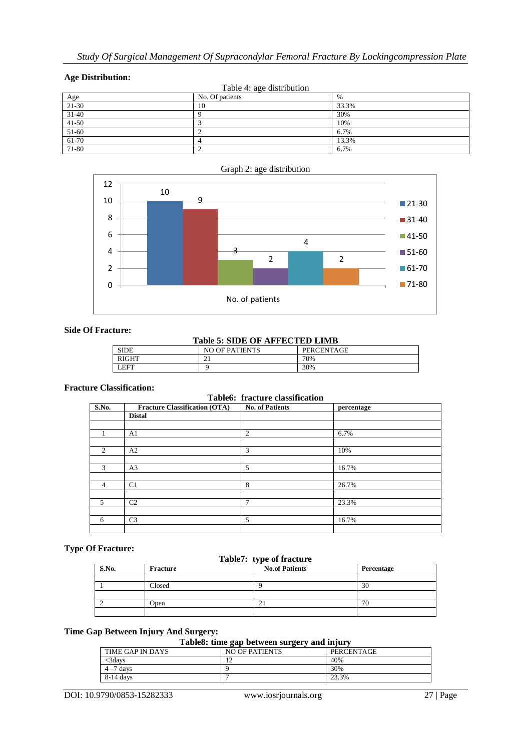# **Age Distribution:**

| -- <del>a</del> ------------      |                 |       |  |
|-----------------------------------|-----------------|-------|--|
| Table 4: age distribution         |                 |       |  |
|                                   | No. Of patients | $\%$  |  |
| $\frac{\text{Age}}{\text{21-30}}$ | 10              | 33.3% |  |
| $31 - 40$                         |                 | 30%   |  |
| $41 - 50$                         |                 | 10%   |  |
| $51-60$                           |                 | 6.7%  |  |
| $61-70$                           |                 | 13.3% |  |
| 71-80                             |                 | 6.7%  |  |



# Graph 2: age distribution

# **Side Of Fracture:**

#### **Table 5: SIDE OF AFFECTED LIMB**

#### **Fracture Classification:**

## **Table6: fracture classification**

| S.No.          | <b>Fracture Classification (OTA)</b> | <b>No. of Patients</b> | percentage |
|----------------|--------------------------------------|------------------------|------------|
|                | <b>Distal</b>                        |                        |            |
|                |                                      |                        |            |
| 1              | A1                                   | $\overline{c}$         | 6.7%       |
|                |                                      |                        |            |
| 2              | A <sub>2</sub>                       | 3                      | 10%        |
|                |                                      |                        |            |
| 3              | A <sub>3</sub>                       | 5                      | 16.7%      |
|                |                                      |                        |            |
| $\overline{4}$ | C <sub>1</sub>                       | 8                      | 26.7%      |
|                |                                      |                        |            |
| 5              | C <sub>2</sub>                       | 7                      | 23.3%      |
|                |                                      |                        |            |
| 6              | C <sub>3</sub>                       | 5                      | 16.7%      |
|                |                                      |                        |            |

# **Type Of Fracture:**

#### **Table7: type of fracture**

| S.No. | Fracture | <b>No.of Patients</b> | Percentage |
|-------|----------|-----------------------|------------|
|       |          |                       |            |
|       | Closed   |                       | 30         |
|       |          |                       |            |
|       | Open     |                       | 76         |
|       |          |                       |            |

# **Time Gap Between Injury And Surgery:**

**Table8: time gap between surgery and injury**

| ---------------  |                       |                   |
|------------------|-----------------------|-------------------|
| TIME GAP IN DAYS | <b>NO OF PATIENTS</b> | <b>PERCENTAGE</b> |
| 3davs            | . .                   | 40%               |
| $4 - 7$ days     |                       | 30%               |
| $8-14$ days      |                       | 23.3%             |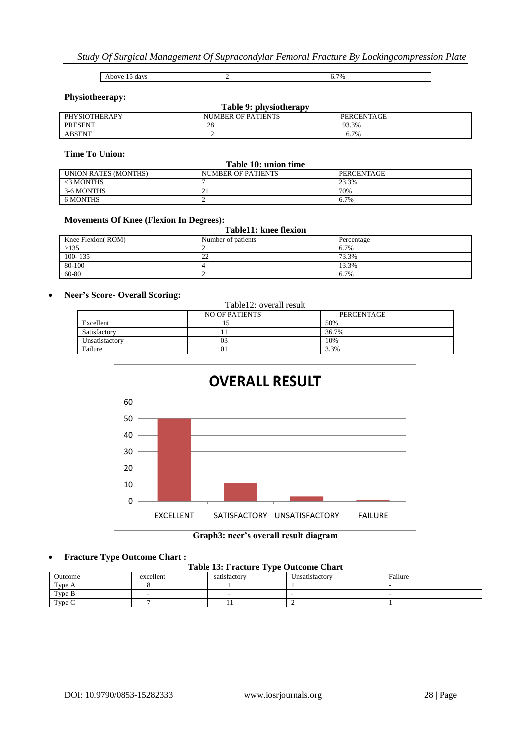Above 15 days 2 6.7%

# **Physiotheerapy:**

| Table 9: physiotherapy |                           |            |  |
|------------------------|---------------------------|------------|--|
| <b>PHYSIOTHERAPY</b>   | <b>NUMBER OF PATIENTS</b> | PERCENTAGE |  |
| <b>PRESENT</b>         | 28                        | 93.3%      |  |
| <b>ABSENT</b>          |                           | 6.7%       |  |

# **Time To Union:**

| Table 10: union time |                    |            |
|----------------------|--------------------|------------|
| UNION RATES (MONTHS) | NUMBER OF PATIENTS | PERCENTAGE |
| $<$ 3 MONTHS         |                    | 23.3%      |
| 3-6 MONTHS           | ∸                  | 70%        |
| 6 MONTHS             |                    | 6.7%       |

#### **Movements Of Knee (Flexion In Degrees):**

| Table11: knee flexion |                    |            |
|-----------------------|--------------------|------------|
| Knee Flexion(ROM)     | Number of patients | Percentage |
| >135                  |                    | 6.7%       |
| $100 - 135$           | 22                 | 73.3%      |
| 80-100                |                    | 13.3%      |
| 60-80                 |                    | 6.7%       |

#### **Neer's Score- Overall Scoring:**

| Table12: overall result |                       |            |
|-------------------------|-----------------------|------------|
|                         | <b>NO OF PATIENTS</b> | PERCENTAGE |
| Excellent               |                       | 50%        |
| Satisfactory            |                       | 36.7%      |
| Unsatisfactory          | 03                    | 10%        |
| Failure                 | $_{01}$               | 3.3%       |



#### **Graph3: neer's overall result diagram**

# **Fracture Type Outcome Chart :**

# **Table 13: Fracture Type Outcome Chart**

| Outcome | excellent | satisfactory | Unsatisfactory | Failure |
|---------|-----------|--------------|----------------|---------|
| Type A  |           |              |                |         |
| Type B  |           |              |                |         |
| Type C  |           |              |                |         |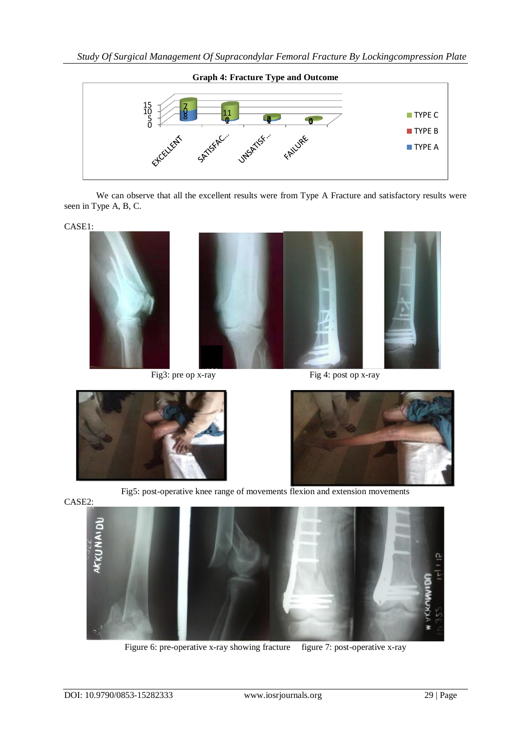

We can observe that all the excellent results were from Type A Fracture and satisfactory results were seen in Type A, B, C.

CASE1:



Fig 3: pre op x-ray Fig 4: post op x-ray





Fig5: post-operative knee range of movements flexion and extension movements



Figure 6: pre-operative x-ray showing fracture figure 7: post-operative x-ray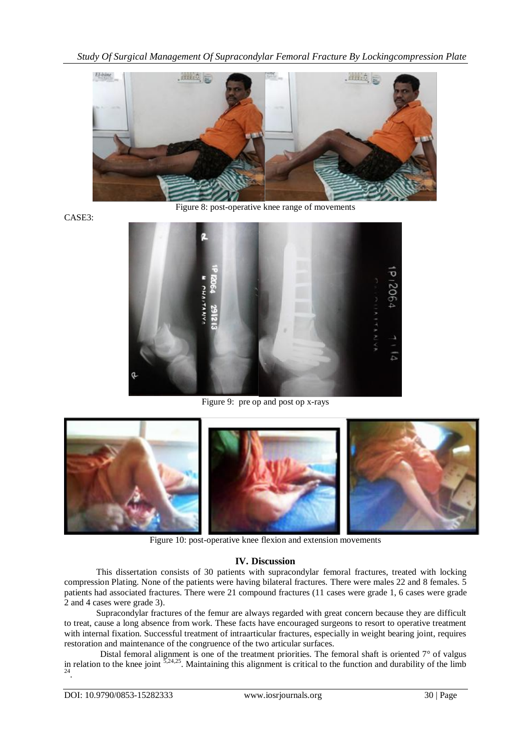*Study Of Surgical Management Of Supracondylar Femoral Fracture By Lockingcompression Plate*



Figure 8: post-operative knee range of movements

CASE3:



Figure 9: pre op and post op x-rays



Figure 10: post-operative knee flexion and extension movements

# **IV. Discussion**

This dissertation consists of 30 patients with supracondylar femoral fractures, treated with locking compression Plating. None of the patients were having bilateral fractures. There were males 22 and 8 females. 5 patients had associated fractures. There were 21 compound fractures (11 cases were grade 1, 6 cases were grade 2 and 4 cases were grade 3).

Supracondylar fractures of the femur are always regarded with great concern because they are difficult to treat, cause a long absence from work. These facts have encouraged surgeons to resort to operative treatment with internal fixation. Successful treatment of intraarticular fractures, especially in weight bearing joint, requires restoration and maintenance of the congruence of the two articular surfaces.

Distal femoral alignment is one of the treatment priorities. The femoral shaft is oriented  $7^\circ$  of valgus in relation to the knee joint  $5,24,25$ . Maintaining this alignment is critical to the function and durability of the limb  $24$ .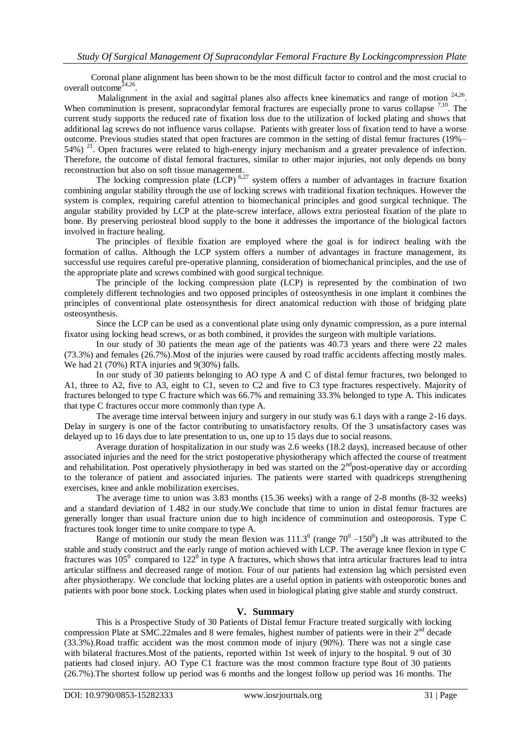Coronal plane alignment has been shown to be the most difficult factor to control and the most crucial to overall outcome<sup> $24,26$ </sup>.

Malalignment in the axial and sagittal planes also affects knee kinematics and range of motion  $24.26$ . When comminution is present, supracondylar femoral fractures are especially prone to varus collapse <sup>7,10</sup>. The current study supports the reduced rate of fixation loss due to the utilization of locked plating and shows that additional lag screws do not influence varus collapse. Patients with greater loss of fixation tend to have a worse outcome. Previous studies stated that open fractures are common in the setting of distal femur fractures (19%– 54%)<sup>21</sup>. Open fractures were related to high-energy injury mechanism and a greater prevalence of infection. Therefore, the outcome of distal femoral fractures, similar to other major injuries, not only depends on bony reconstruction but also on soft tissue management.

The locking compression plate  $(LCP)$ <sup>6,27</sup> system offers a number of advantages in fracture fixation combining angular stability through the use of locking screws with traditional fixation techniques. However the system is complex, requiring careful attention to biomechanical principles and good surgical technique. The angular stability provided by LCP at the plate-screw interface, allows extra periosteal fixation of the plate to bone. By preserving periosteal blood supply to the bone it addresses the importance of the biological factors involved in fracture healing.

The principles of flexible fixation are employed where the goal is for indirect healing with the formation of callus. Although the LCP system offers a number of advantages in fracture management, its successful use requires careful pre-operative planning, consideration of biomechanical principles, and the use of the appropriate plate and screws combined with good surgical technique.

The principle of the locking compression plate (LCP) is represented by the combination of two completely different technologies and two opposed principles of osteosynthesis in one implant it combines the principles of conventional plate osteosynthesis for direct anatomical reduction with those of bridging plate osteosynthesis.

Since the LCP can be used as a conventional plate using only dynamic compression, as a pure internal fixator using locking head screws, or as both combined, it provides the surgeon with multiple variations.

In our study of 30 patients the mean age of the patients was 40.73 years and there were 22 males (73.3%) and females (26.7%).Most of the injuries were caused by road traffic accidents affecting mostly males. We had 21 (70%) RTA injuries and 9(30%) falls.

In our study of 30 patients belonging to AO type A and C of distal femur fractures, two belonged to A1, three to A2, five to A3, eight to C1, seven to C2 and five to C3 type fractures respectively. Majority of fractures belonged to type C fracture which was 66.7% and remaining 33.3% belonged to type A. This indicates that type C fractures occur more commonly than type A.

The average time interval between injury and surgery in our study was 6.1 days with a range 2-16 days. Delay in surgery is one of the factor contributing to unsatisfactory results. Of the 3 unsatisfactory cases was delayed up to 16 days due to late presentation to us, one up to 15 days due to social reasons.

Average duration of hospitalization in our study was 2.6 weeks (18.2 days), increased because of other associated injuries and the need for the strict postoperative physiotherapy which affected the course of treatment and rehabilitation. Post operatively physiotherapy in bed was started on the  $2<sup>nd</sup>$ post-operative day or according to the tolerance of patient and associated injuries. The patients were started with quadriceps strengthening exercises, knee and ankle mobilization exercises.

The average time to union was 3.83 months (15.36 weeks) with a range of 2-8 months (8-32 weeks) and a standard deviation of 1.482 in our study.We conclude that time to union in distal femur fractures are generally longer than usual fracture union due to high incidence of comminution and osteoporosis. Type C fractures took longer time to unite compare to type A.

Range of motionin our study the mean flexion was  $111.3^{\circ}$  (range  $70^{\circ}$  –150<sup>°</sup>). It was attributed to the stable and study construct and the early range of motion achieved with LCP. The average knee flexion in type C fractures was  $105^{\circ}$  compared to  $122^{\circ}$  in type A fractures, which shows that intra articular fractures lead to intra articular stiffness and decreased range of motion. Four of our patients had extension lag which persisted even after physiotherapy. We conclude that locking plates are a useful option in patients with osteoporotic bones and patients with poor bone stock. Locking plates when used in biological plating give stable and sturdy construct.

# **V. Summary**

This is a Prospective Study of 30 Patients of Distal femur Fracture treated surgically with locking compression Plate at SMC.22males and 8 were females, highest number of patients were in their 2<sup>nd</sup> decade (33.3%).Road traffic accident was the most common mode of injury (90%). There was not a single case with bilateral fractures.Most of the patients, reported within 1st week of injury to the hospital. 9 out of 30 patients had closed injury. AO Type C1 fracture was the most common fracture type 8out of 30 patients (26.7%).The shortest follow up period was 6 months and the longest follow up period was 16 months. The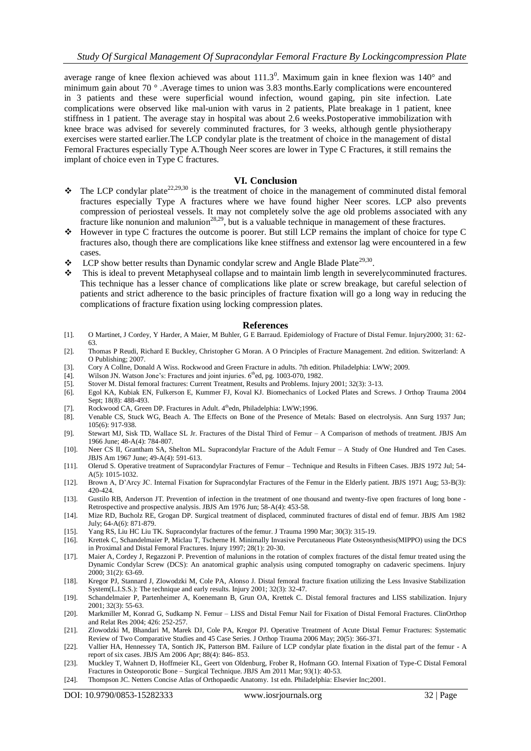average range of knee flexion achieved was about  $111.3^0$ . Maximum gain in knee flexion was  $140^{\circ}$  and minimum gain about 70 ° .Average times to union was 3.83 months.Early complications were encountered in 3 patients and these were superficial wound infection, wound gaping, pin site infection. Late complications were observed like mal-union with varus in 2 patients, Plate breakage in 1 patient, knee stiffness in 1 patient. The average stay in hospital was about 2.6 weeks.Postoperative immobilization with knee brace was advised for severely comminuted fractures, for 3 weeks, although gentle physiotherapy exercises were started earlier.The LCP condylar plate is the treatment of choice in the management of distal Femoral Fractures especially Type A.Though Neer scores are lower in Type C Fractures, it still remains the implant of choice even in Type C fractures.

#### **VI. Conclusion**

- $\bullet$  The LCP condylar plate<sup>22,29,30</sup> is the treatment of choice in the management of comminuted distal femoral fractures especially Type A fractures where we have found higher Neer scores. LCP also prevents compression of periosteal vessels. It may not completely solve the age old problems associated with any fracture like nonunion and malunion<sup>28,29</sup>, but is a valuable technique in management of these fractures.
- However in type C fractures the outcome is poorer. But still LCP remains the implant of choice for type C fractures also, though there are complications like knee stiffness and extensor lag were encountered in a few cases.
- $\bullet$  LCP show better results than Dynamic condylar screw and Angle Blade Plate<sup>29,30</sup>.
- This is ideal to prevent Metaphyseal collapse and to maintain limb length in severelycomminuted fractures. This technique has a lesser chance of complications like plate or screw breakage, but careful selection of patients and strict adherence to the basic principles of fracture fixation will go a long way in reducing the complications of fracture fixation using locking compression plates.

#### **References**

- [1]. O Martinet, J Cordey, Y Harder, A Maier, M Buhler, G E Barraud. Epidemiology of Fracture of Distal Femur. Injury2000; 31: 62- 63.
- [2]. Thomas P Reudi, Richard E Buckley, Christopher G Moran. A O Principles of Fracture Management. 2nd edition. Switzerland: A O Publishing; 2007.
- [3]. Cory A Collne, Donald A Wiss. Rockwood and Green Fracture in adults. 7th edition. Philadelphia: LWW; 2009.
- [4]. Wilson JN. Watson Jone's: Fractures and joint injuries.  $6<sup>th</sup>$ ed, pg. 1003-070, 1982.
- [5]. Stover M. Distal femoral fractures: Current Treatment, Results and Problems. Injury 2001; 32(3): 3-13.
- [6]. Egol KA, Kubiak EN, Fulkerson E, Kummer FJ, Koval KJ. Biomechanics of Locked Plates and Screws. J Orthop Trauma 2004 Sept: 18(8): 488-493.
- [7]. Rockwood CA, Green DP. Fractures in Adult. 4<sup>th</sup>edn, Philadelphia: LWW;1996.
- [8]. Venable CS, Stuck WG, Beach A. The Effects on Bone of the Presence of Metals: Based on electrolysis. Ann Surg 1937 Jun; 105(6): 917-938.
- [9]. Stewart MJ, Sisk TD, Wallace SL Jr. Fractures of the Distal Third of Femur A Comparison of methods of treatment. JBJS Am 1966 June; 48-A(4): 784-807.
- [10]. Neer CS II, Grantham SA, Shelton ML. Supracondylar Fracture of the Adult Femur A Study of One Hundred and Ten Cases. JBJS Am 1967 June; 49-A(4): 591-613.
- [11]. Olerud S. Operative treatment of Supracondylar Fractures of Femur Technique and Results in Fifteen Cases. JBJS 1972 Jul; 54- A(5): 1015-1032.
- [12]. Brown A, D'Arcy JC. Internal Fixation for Supracondylar Fractures of the Femur in the Elderly patient. JBJS 1971 Aug; 53-B(3): 420-424.
- [13]. Gustilo RB, Anderson JT. Prevention of infection in the treatment of one thousand and twenty-five open fractures of long bone Retrospective and prospective analysis. JBJS Am 1976 Jun; 58-A(4): 453-58.
- [14]. Mize RD, Bucholz RE, Grogan DP. Surgical treatment of displaced, comminuted fractures of distal end of femur. JBJS Am 1982 July; 64-A(6): 871-879.
- [15]. Yang RS, Liu HC Liu TK. Supracondylar fractures of the femur. J Trauma 1990 Mar; 30(3): 315-19.
- [16]. Krettek C, Schandelmaier P, Miclau T, Tscherne H. Minimally Invasive Percutaneous Plate Osteosynthesis(MIPPO) using the DCS in Proximal and Distal Femoral Fractures. Injury 1997; 28(1): 20-30.
- [17]. Maier A, Cordey J, Regazzoni P. Prevention of malunions in the rotation of complex fractures of the distal femur treated using the Dynamic Condylar Screw (DCS): An anatomical graphic analysis using computed tomography on cadaveric specimens. Injury 2000; 31(2): 63-69.
- [18]. Kregor PJ, Stannard J, Zlowodzki M, Cole PA, Alonso J. Distal femoral fracture fixation utilizing the Less Invasive Stabilization System(L.I.S.S.): The technique and early results. Injury 2001; 32(3): 32-47.
- [19]. Schandelmaier P, Partenheimer A, Koenemann B, Grun OA, Krettek C. Distal femoral fractures and LISS stabilization. Injury 2001; 32(3): 55-63.
- [20]. Markmiller M, Konrad G, Sudkamp N. Femur LISS and Distal Femur Nail for Fixation of Distal Femoral Fractures. ClinOrthop and Relat Res 2004; 426: 252-257.
- [21]. Zlowodzki M, Bhandari M, Marek DJ, Cole PA, Kregor PJ. Operative Treatment of Acute Distal Femur Fractures: Systematic Review of Two Comparative Studies and 45 Case Series. J Orthop Trauma 2006 May; 20(5): 366-371.
- [22]. Vallier HA, Hennessey TA, Sontich JK, Patterson BM. Failure of LCP condylar plate fixation in the distal part of the femur A report of six cases. JBJS Am 2006 Apr; 88(4): 846- 853.
- [23]. Muckley T, Wahnert D, Hoffmeier KL, Geert von Oldenburg, Frober R, Hofmann GO. Internal Fixation of Type-C Distal Femoral Fractures in Osteoporotic Bone – Surgical Technique. JBJS Am 2011 Mar; 93(1): 40-53.
- [24]. Thompson JC. Netters Concise Atlas of Orthopaedic Anatomy. 1st edn. Philadelphia: Elsevier Inc;2001.